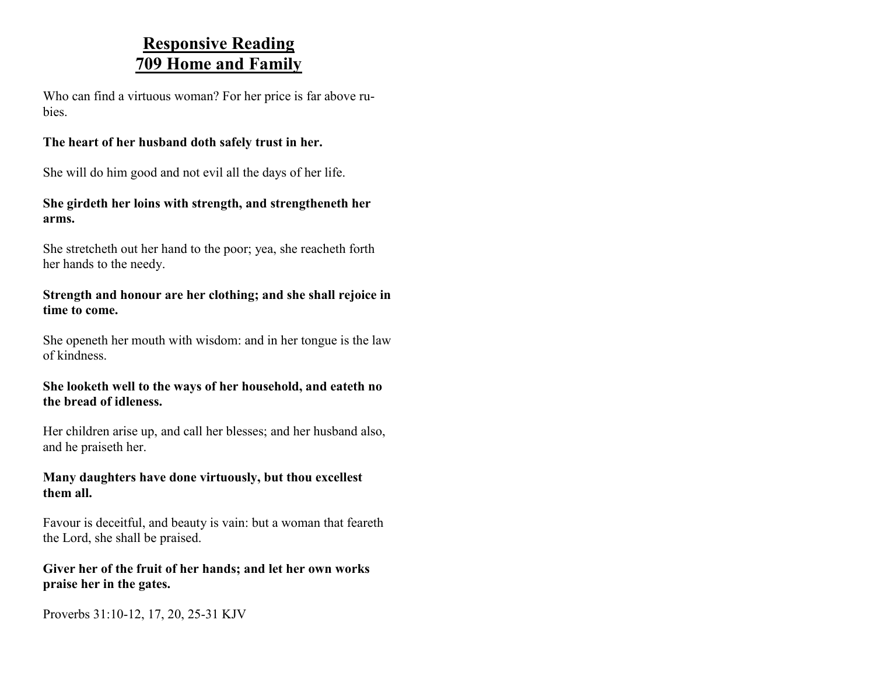### **Responsive Reading 709 Home and Family**

Who can find a virtuous woman? For her price is far above rubies.

### **The heart of her husband doth safely trust in her.**

She will do him good and not evil all the days of her life.

### **She girdeth her loins with strength, and strengtheneth her arms.**

She stretcheth out her hand to the poor; yea, she reacheth forth her hands to the needy.

### **Strength and honour are her clothing; and she shall rejoice in time to come.**

She openeth her mouth with wisdom: and in her tongue is the law of kindness.

### **She looketh well to the ways of her household, and eateth no the bread of idleness.**

Her children arise up, and call her blesses; and her husband also, and he praiseth her.

#### **Many daughters have done virtuously, but thou excellest them all.**

Favour is deceitful, and beauty is vain: but a woman that feareth the Lord, she shall be praised.

### **Giver her of the fruit of her hands; and let her own works praise her in the gates.**

Proverbs 31:10-12, 17, 20, 25-31 KJV